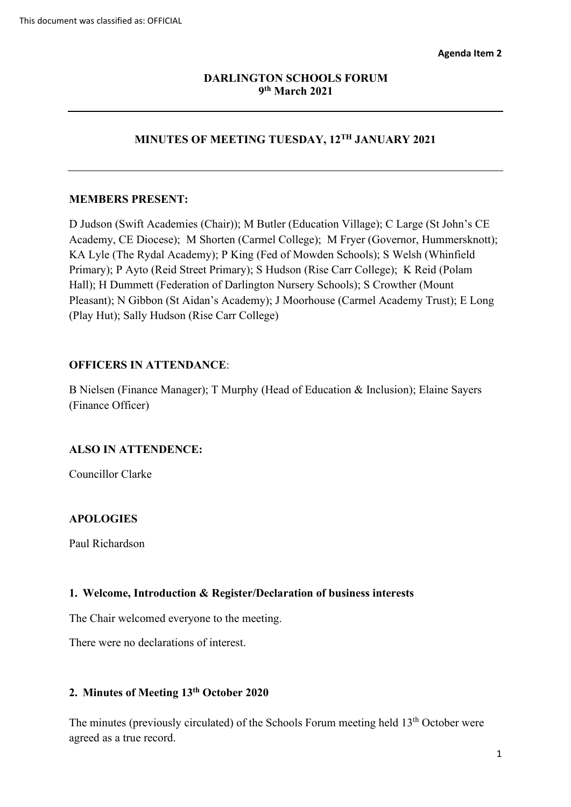#### **DARLINGTON SCHOOLS FORUM 9th March 2021**

# **MINUTES OF MEETING TUESDAY, 12TH JANUARY 2021**

#### **MEMBERS PRESENT:**

 Academy, CE Diocese); M Shorten (Carmel College); M Fryer (Governor, Hummersknott); Primary); P Ayto (Reid Street Primary); S Hudson (Rise Carr College); K Reid (Polam Hall); H Dummett (Federation of Darlington Nursery Schools); S Crowther (Mount (Play Hut); Sally Hudson (Rise Carr College) D Judson (Swift Academies (Chair)); M Butler (Education Village); C Large (St John's CE KA Lyle (The Rydal Academy); P King (Fed of Mowden Schools); S Welsh (Whinfield Pleasant); N Gibbon (St Aidan's Academy); J Moorhouse (Carmel Academy Trust); E Long

#### **OFFICERS IN ATTENDANCE**:

 B Nielsen (Finance Manager); T Murphy (Head of Education & Inclusion); Elaine Sayers (Finance Officer)

#### **ALSO IN ATTENDENCE:**

Councillor Clarke

#### **APOLOGIES**

Paul Richardson

#### **1. Welcome, Introduction & Register/Declaration of business interests**

The Chair welcomed everyone to the meeting.

There were no declarations of interest.

#### **2. Minutes of Meeting 13th October 2020**

The minutes (previously circulated) of the Schools Forum meeting held  $13<sup>th</sup>$  October were agreed as a true record.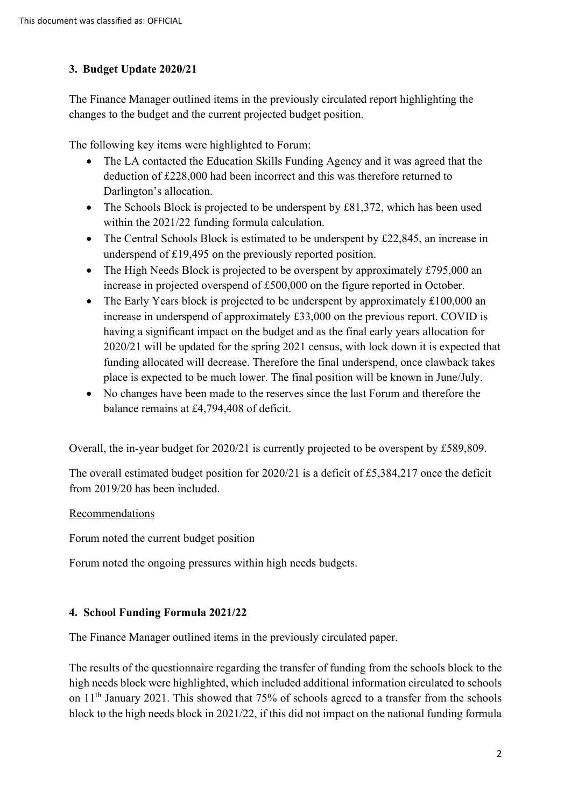## **3. Budget Update 2020/21**

The Finance Manager outlined items in the previously circulated report highlighting the changes to the budget and the current projected budget position.

The following key items were highlighted to Forum:

- The LA contacted the Education Skills Funding Agency and it was agreed that the deduction of £228,000 had been incorrect and this was therefore returned to Darlington's allocation.
- The Schools Block is projected to be underspent by £81,372, which has been used within the 2021/22 funding formula calculation.
- The Central Schools Block is estimated to be underspent by £22,845, an increase in underspend of £19,495 on the previously reported position.
- The High Needs Block is projected to be overspent by approximately £795,000 an increase in projected overspend of £500,000 on the figure reported in October.
- place is expected to be much lower. The final position will be known in June/July. • The Early Years block is projected to be underspent by approximately £100,000 an increase in underspend of approximately £33,000 on the previous report. COVID is having a significant impact on the budget and as the final early years allocation for 2020/21 will be updated for the spring 2021 census, with lock down it is expected that funding allocated will decrease. Therefore the final underspend, once clawback takes
- No changes have been made to the reserves since the last Forum and therefore the balance remains at £4,794,408 of deficit.

Overall, the in-year budget for 2020/21 is currently projected to be overspent by £589,809.

The overall estimated budget position for 2020/21 is a deficit of £5,384,217 once the deficit from 2019/20 has been included.

#### Recommendations

Forum noted the current budget position

Forum noted the ongoing pressures within high needs budgets.

#### **4. School Funding Formula 2021/22**

The Finance Manager outlined items in the previously circulated paper.

The results of the questionnaire regarding the transfer of funding from the schools block to the high needs block were highlighted, which included additional information circulated to schools on 11th January 2021. This showed that 75% of schools agreed to a transfer from the schools block to the high needs block in 2021/22, if this did not impact on the national funding formula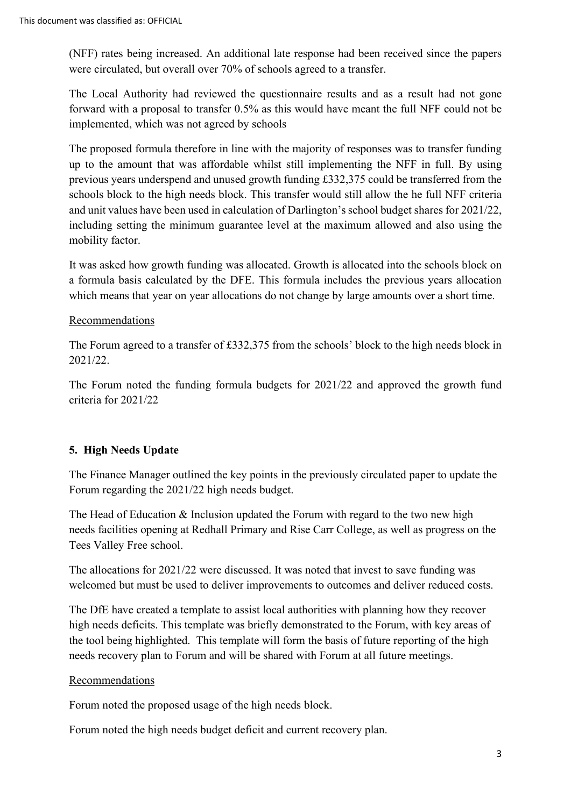were circulated, but overall over 70% of schools agreed to a transfer. (NFF) rates being increased. An additional late response had been received since the papers

 The Local Authority had reviewed the questionnaire results and as a result had not gone forward with a proposal to transfer 0.5% as this would have meant the full NFF could not be implemented, which was not agreed by schools

 schools block to the high needs block. This transfer would still allow the he full NFF criteria The proposed formula therefore in line with the majority of responses was to transfer funding up to the amount that was affordable whilst still implementing the NFF in full. By using previous years underspend and unused growth funding £332,375 could be transferred from the and unit values have been used in calculation of Darlington's school budget shares for 2021/22, including setting the minimum guarantee level at the maximum allowed and also using the mobility factor.

It was asked how growth funding was allocated. Growth is allocated into the schools block on a formula basis calculated by the DFE. This formula includes the previous years allocation which means that year on year allocations do not change by large amounts over a short time.

## Recommendations

The Forum agreed to a transfer of £332,375 from the schools' block to the high needs block in 2021/22.

The Forum noted the funding formula budgets for 2021/22 and approved the growth fund criteria for 2021/22

## **5. High Needs Update**

Forum regarding the 2021/22 high needs budget. The Finance Manager outlined the key points in the previously circulated paper to update the

The Head of Education  $\&$  Inclusion updated the Forum with regard to the two new high needs facilities opening at Redhall Primary and Rise Carr College, as well as progress on the Tees Valley Free school.

 The allocations for 2021/22 were discussed. It was noted that invest to save funding was welcomed but must be used to deliver improvements to outcomes and deliver reduced costs.

 the tool being highlighted. This template will form the basis of future reporting of the high needs recovery plan to Forum and will be shared with Forum at all future meetings. The DfE have created a template to assist local authorities with planning how they recover high needs deficits. This template was briefly demonstrated to the Forum, with key areas of

## Recommendations

Forum noted the proposed usage of the high needs block.

Forum noted the high needs budget deficit and current recovery plan.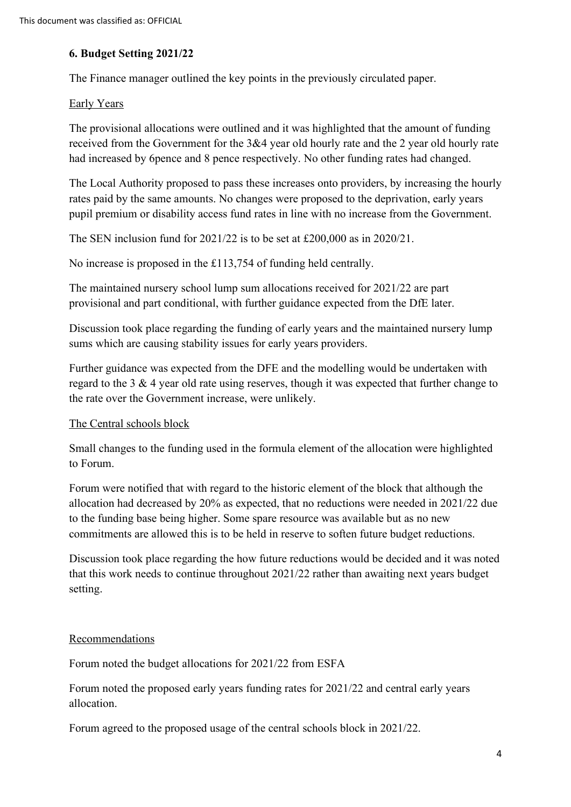### **6. Budget Setting 2021/22**

The Finance manager outlined the key points in the previously circulated paper.

#### Early Years

The provisional allocations were outlined and it was highlighted that the amount of funding received from the Government for the 3&4 year old hourly rate and the 2 year old hourly rate had increased by 6pence and 8 pence respectively. No other funding rates had changed.

The Local Authority proposed to pass these increases onto providers, by increasing the hourly rates paid by the same amounts. No changes were proposed to the deprivation, early years pupil premium or disability access fund rates in line with no increase from the Government.

The SEN inclusion fund for 2021/22 is to be set at £200,000 as in 2020/21.

No increase is proposed in the £113,754 of funding held centrally.

 provisional and part conditional, with further guidance expected from the DfE later. The maintained nursery school lump sum allocations received for 2021/22 are part

Discussion took place regarding the funding of early years and the maintained nursery lump sums which are causing stability issues for early years providers.

Further guidance was expected from the DFE and the modelling would be undertaken with regard to the 3 & 4 year old rate using reserves, though it was expected that further change to the rate over the Government increase, were unlikely.

#### The Central schools block

Small changes to the funding used in the formula element of the allocation were highlighted to Forum.

 allocation had decreased by 20% as expected, that no reductions were needed in 2021/22 due Forum were notified that with regard to the historic element of the block that although the to the funding base being higher. Some spare resource was available but as no new commitments are allowed this is to be held in reserve to soften future budget reductions.

 that this work needs to continue throughout 2021/22 rather than awaiting next years budget Discussion took place regarding the how future reductions would be decided and it was noted setting.

#### Recommendations

Forum noted the budget allocations for 2021/22 from ESFA

Forum noted the proposed early years funding rates for 2021/22 and central early years allocation.

Forum agreed to the proposed usage of the central schools block in 2021/22.